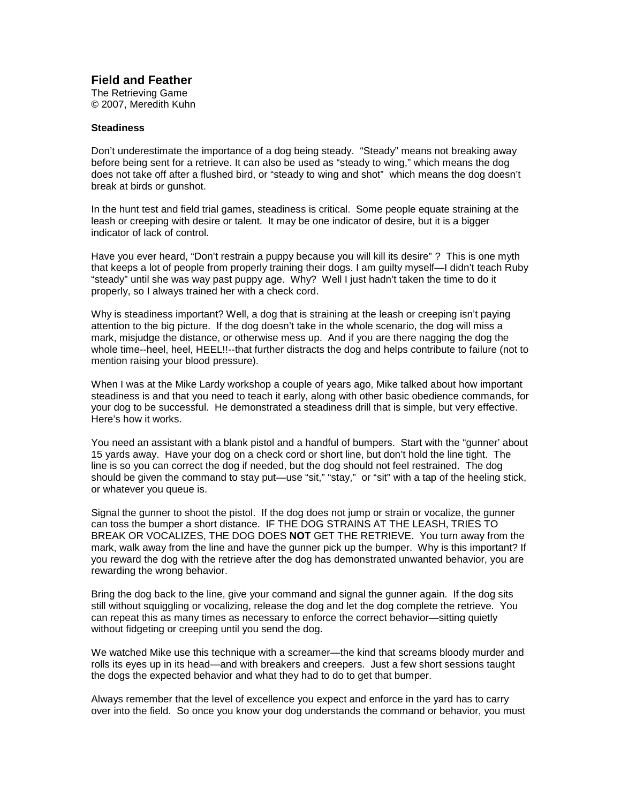## **Field and Feather**

The Retrieving Game © 2007, Meredith Kuhn

## **Steadiness**

Don't underestimate the importance of a dog being steady. "Steady" means not breaking away before being sent for a retrieve. It can also be used as "steady to wing," which means the dog does not take off after a flushed bird, or "steady to wing and shot" which means the dog doesn't break at birds or gunshot.

In the hunt test and field trial games, steadiness is critical. Some people equate straining at the leash or creeping with desire or talent. It may be one indicator of desire, but it is a bigger indicator of lack of control.

Have you ever heard, "Don't restrain a puppy because you will kill its desire" ? This is one myth that keeps a lot of people from properly training their dogs. I am guilty myself—I didn't teach Ruby "steady" until she was way past puppy age. Why? Well I just hadn't taken the time to do it properly, so I always trained her with a check cord.

Why is steadiness important? Well, a dog that is straining at the leash or creeping isn't paying attention to the big picture. If the dog doesn't take in the whole scenario, the dog will miss a mark, misjudge the distance, or otherwise mess up. And if you are there nagging the dog the whole time--heel, heel, HEEL!!--that further distracts the dog and helps contribute to failure (not to mention raising your blood pressure).

When I was at the Mike Lardy workshop a couple of years ago, Mike talked about how important steadiness is and that you need to teach it early, along with other basic obedience commands, for your dog to be successful. He demonstrated a steadiness drill that is simple, but very effective. Here's how it works.

You need an assistant with a blank pistol and a handful of bumpers. Start with the "gunner' about 15 yards away. Have your dog on a check cord or short line, but don't hold the line tight. The line is so you can correct the dog if needed, but the dog should not feel restrained. The dog should be given the command to stay put—use "sit," "stay," or "sit" with a tap of the heeling stick, or whatever you queue is.

Signal the gunner to shoot the pistol. If the dog does not jump or strain or vocalize, the gunner can toss the bumper a short distance. IF THE DOG STRAINS AT THE LEASH, TRIES TO BREAK OR VOCALIZES, THE DOG DOES **NOT** GET THE RETRIEVE. You turn away from the mark, walk away from the line and have the gunner pick up the bumper. Why is this important? If you reward the dog with the retrieve after the dog has demonstrated unwanted behavior, you are rewarding the wrong behavior.

Bring the dog back to the line, give your command and signal the gunner again. If the dog sits still without squiggling or vocalizing, release the dog and let the dog complete the retrieve. You can repeat this as many times as necessary to enforce the correct behavior—sitting quietly without fidgeting or creeping until you send the dog.

We watched Mike use this technique with a screamer—the kind that screams bloody murder and rolls its eyes up in its head—and with breakers and creepers. Just a few short sessions taught the dogs the expected behavior and what they had to do to get that bumper.

Always remember that the level of excellence you expect and enforce in the yard has to carry over into the field. So once you know your dog understands the command or behavior, you must